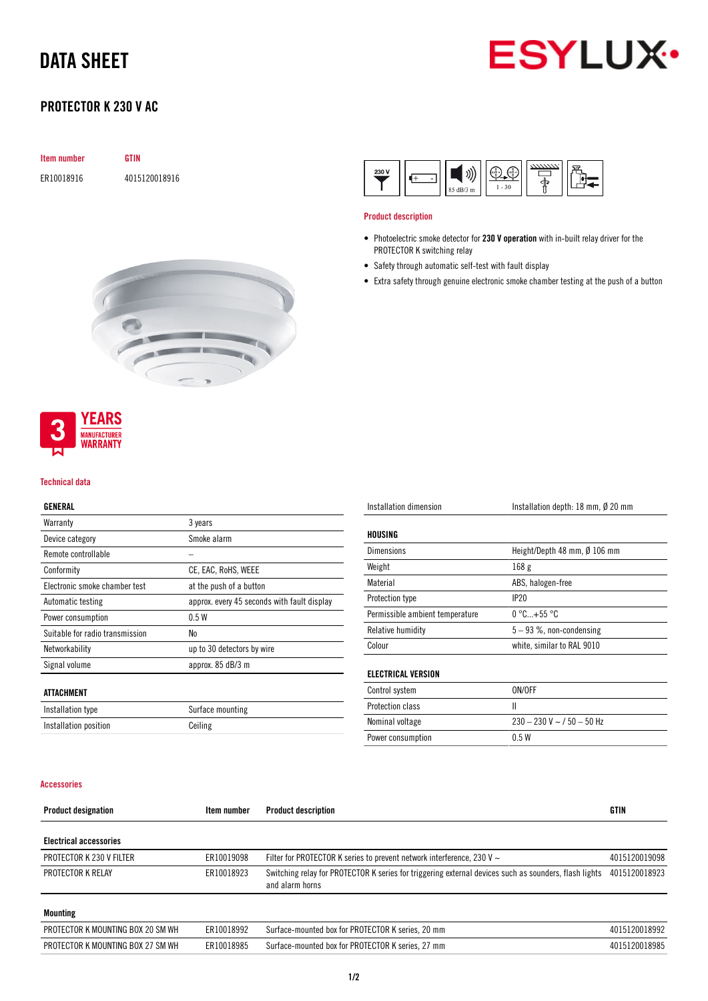# DATA SHEET



## PROTECTOR K 230 V AC

| <b>Item number</b> | <b>GTIN</b>   |
|--------------------|---------------|
| ER10018916         | 4015120018916 |



#### Product description

- Photoelectric smoke detector for 230 V operation with in-built relay driver for the PROTECTOR K switching relay
- Safety through automatic self-test with fault display
- Extra safety through genuine electronic smoke chamber testing at the push of a button





#### Technical data

#### GENERAL

| Warranty                        | 3 years                                     |
|---------------------------------|---------------------------------------------|
| Device category                 | Smoke alarm                                 |
| Remote controllable             |                                             |
| Conformity                      | CE, EAC, RoHS, WEEE                         |
| Electronic smoke chamber test   | at the push of a button                     |
| Automatic testing               | approx. every 45 seconds with fault display |
| Power consumption               | 0.5W                                        |
| Suitable for radio transmission | No                                          |
| Networkability                  | up to 30 detectors by wire                  |
| Signal volume                   | approx. 85 dB/3 m                           |
|                                 |                                             |
| ATTACHMENT                      |                                             |
| Installation type               | Surface mounting                            |

| Installation dimension          | Installation depth: 18 mm, Ø 20 mm |  |
|---------------------------------|------------------------------------|--|
| HOUSING                         |                                    |  |
| <b>Dimensions</b>               | Height/Depth 48 mm, Ø 106 mm       |  |
| Weight                          | 168 <sub>g</sub>                   |  |
| Material                        | ABS, halogen-free                  |  |
| <b>Protection type</b>          | IP20                               |  |
| Permissible ambient temperature | $0 °C+55 °C$                       |  |
| Relative humidity               | $5 - 93$ %, non-condensing         |  |
| Colour                          | white, similar to RAL 9010         |  |
|                                 |                                    |  |
| <b>ELECTRICAL VERSION</b>       |                                    |  |
| Control quetam                  | <b>ONIOCE</b>                      |  |

| Control system          | ON/OFF                           |
|-------------------------|----------------------------------|
| <b>Protection class</b> |                                  |
| Nominal voltage         | $230 - 230$ V ~ $/$ 50 $-$ 50 Hz |
| Power consumption       | 0.5 W                            |

#### Accessories

Installation position **Ceiling** 

| <b>Product designation</b>        | Item number | <b>Product description</b>                                                                                               | GTIN          |
|-----------------------------------|-------------|--------------------------------------------------------------------------------------------------------------------------|---------------|
| <b>Electrical accessories</b>     |             |                                                                                                                          |               |
| <b>PROTECTOR K 230 V FILTER</b>   | ER10019098  | Filter for PROTECTOR K series to prevent network interference, 230 V $\sim$                                              | 4015120019098 |
| PROTECTOR K RELAY                 | ER10018923  | Switching relay for PROTECTOR K series for triggering external devices such as sounders, flash lights<br>and alarm horns | 4015120018923 |
| <b>Mounting</b>                   |             |                                                                                                                          |               |
| PROTECTOR K MOUNTING BOX 20 SM WH | ER10018992  | Surface-mounted box for PROTECTOR K series, 20 mm                                                                        | 4015120018992 |
| PROTECTOR K MOUNTING BOX 27 SM WH | ER10018985  | Surface-mounted box for PROTECTOR K series, 27 mm                                                                        | 4015120018985 |